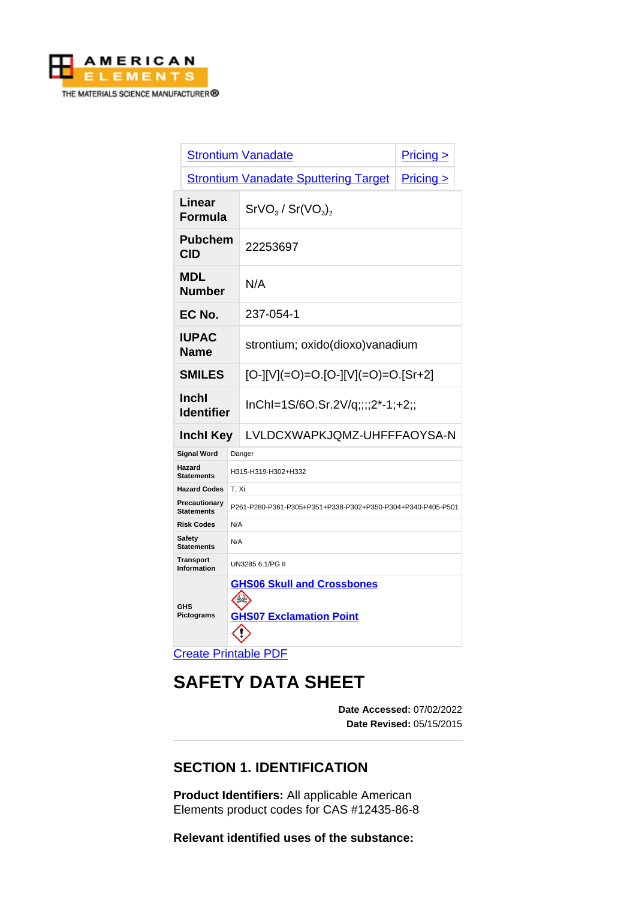

|                                        |                                                                     | <b>Strontium Vanadate</b>                   | $Pricing \ge$ |  |
|----------------------------------------|---------------------------------------------------------------------|---------------------------------------------|---------------|--|
|                                        |                                                                     | <b>Strontium Vanadate Sputtering Target</b> | Pricing >     |  |
| Linear<br><b>Formula</b>               |                                                                     | $SrVO3$ / $Sr(VO3)2$                        |               |  |
| <b>Pubchem</b><br><b>CID</b>           |                                                                     | 22253697                                    |               |  |
| <b>MDL</b><br><b>Number</b>            |                                                                     | N/A                                         |               |  |
| EC No.                                 |                                                                     | 237-054-1                                   |               |  |
| <b>IUPAC</b><br><b>Name</b>            |                                                                     | strontium; oxido(dioxo)vanadium             |               |  |
| <b>SMILES</b>                          |                                                                     | $[O-][V] (=O) = O.[O-][V] (=O) = O.[Sr+2]$  |               |  |
| Inchl<br><b>Identifier</b>             |                                                                     | lnChl=1S/6O.Sr.2V/q;;;;2*-1;+2;;            |               |  |
| <b>Inchl Key</b>                       |                                                                     | LVLDCXWAPKJQMZ-UHFFFAOYSA-N                 |               |  |
| <b>Signal Word</b>                     | Danger                                                              |                                             |               |  |
| Hazard<br><b>Statements</b>            | H315-H319-H302+H332                                                 |                                             |               |  |
| <b>Hazard Codes</b>                    | T, Xi                                                               |                                             |               |  |
| Precautionary<br><b>Statements</b>     | P261-P280-P361-P305+P351+P338-P302+P350-P304+P340-P405-P501         |                                             |               |  |
| <b>Risk Codes</b>                      | N/A                                                                 |                                             |               |  |
| Safety<br><b>Statements</b>            | N/A                                                                 |                                             |               |  |
| <b>Transport</b><br><b>Information</b> | UN3285 6.1/PG II                                                    |                                             |               |  |
| <b>GHS</b><br>Pictograms               | <b>GHS06 Skull and Crossbones</b><br><b>GHS07 Exclamation Point</b> |                                             |               |  |
| <b>Create Printable PDF</b>            |                                                                     |                                             |               |  |

# **SAFETY DATA SHEET**

**Date Accessed:** 07/02/2022 **Date Revised:** 05/15/2015

# **SECTION 1. IDENTIFICATION**

**Product Identifiers:** All applicable American Elements product codes for CAS #12435-86-8

**Relevant identified uses of the substance:**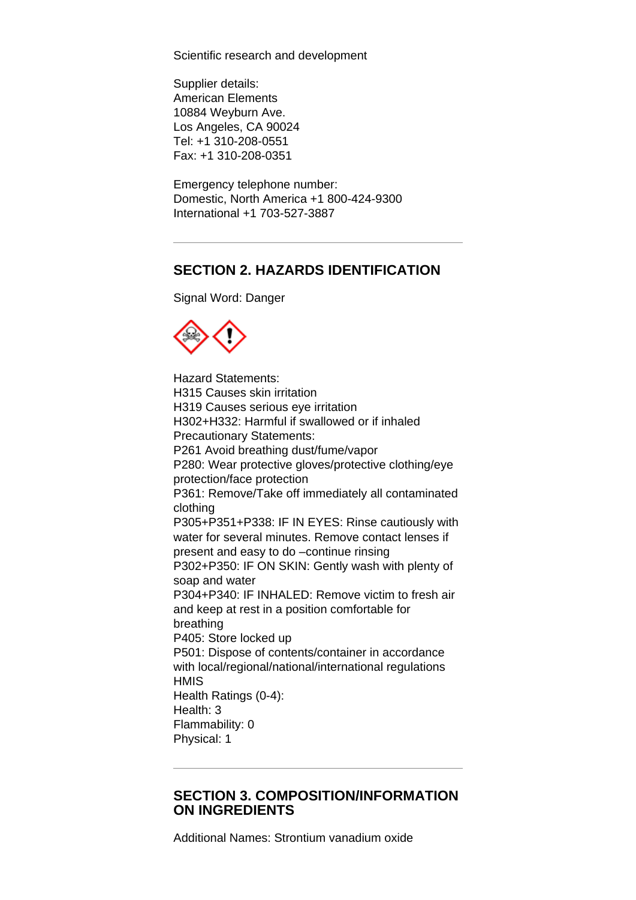Scientific research and development

Supplier details: American Elements 10884 Weyburn Ave. Los Angeles, CA 90024 Tel: +1 310-208-0551 Fax: +1 310-208-0351

Emergency telephone number: Domestic, North America +1 800-424-9300 International +1 703-527-3887

# **SECTION 2. HAZARDS IDENTIFICATION**

Signal Word: Danger



Hazard Statements: H315 Causes skin irritation H319 Causes serious eye irritation H302+H332: Harmful if swallowed or if inhaled Precautionary Statements: P261 Avoid breathing dust/fume/vapor P280: Wear protective gloves/protective clothing/eye protection/face protection P361: Remove/Take off immediately all contaminated clothing P305+P351+P338: IF IN EYES: Rinse cautiously with water for several minutes. Remove contact lenses if present and easy to do –continue rinsing P302+P350: IF ON SKIN: Gently wash with plenty of soap and water P304+P340: IF INHALED: Remove victim to fresh air and keep at rest in a position comfortable for breathing P405: Store locked up P501: Dispose of contents/container in accordance with local/regional/national/international regulations **HMIS** Health Ratings (0-4): Health: 3 Flammability: 0 Physical: 1

#### **SECTION 3. COMPOSITION/INFORMATION ON INGREDIENTS**

Additional Names: Strontium vanadium oxide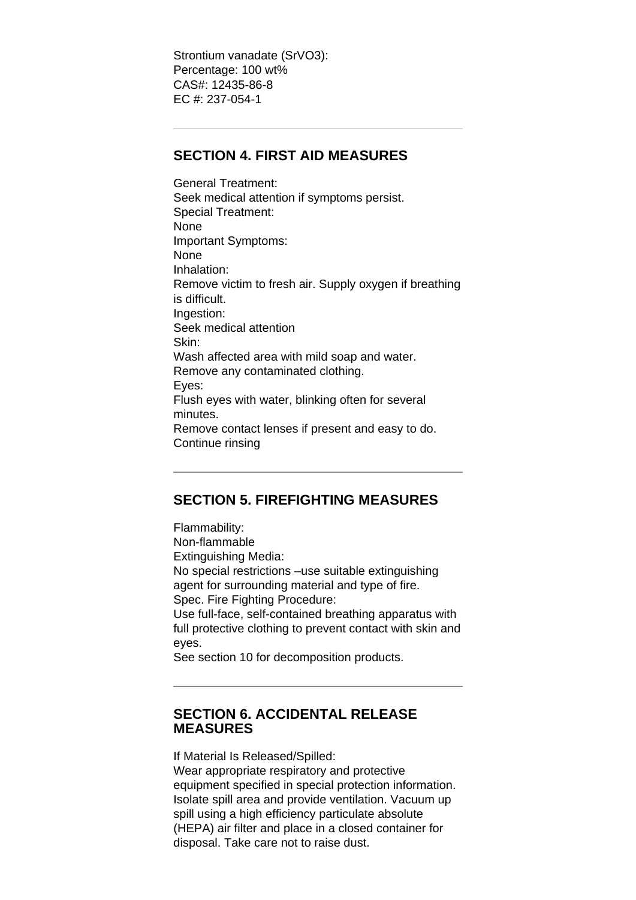Strontium vanadate (SrVO3): Percentage: 100 wt% CAS#: 12435-86-8 EC #: 237-054-1

## **SECTION 4. FIRST AID MEASURES**

General Treatment: Seek medical attention if symptoms persist. Special Treatment: None Important Symptoms: None Inhalation: Remove victim to fresh air. Supply oxygen if breathing is difficult. Ingestion: Seek medical attention Skin: Wash affected area with mild soap and water. Remove any contaminated clothing. Eyes: Flush eyes with water, blinking often for several minutes. Remove contact lenses if present and easy to do. Continue rinsing

# **SECTION 5. FIREFIGHTING MEASURES**

Flammability: Non-flammable Extinguishing Media: No special restrictions –use suitable extinguishing agent for surrounding material and type of fire. Spec. Fire Fighting Procedure: Use full-face, self-contained breathing apparatus with full protective clothing to prevent contact with skin and eyes.

See section 10 for decomposition products.

## **SECTION 6. ACCIDENTAL RELEASE MEASURES**

If Material Is Released/Spilled:

Wear appropriate respiratory and protective equipment specified in special protection information. Isolate spill area and provide ventilation. Vacuum up spill using a high efficiency particulate absolute (HEPA) air filter and place in a closed container for disposal. Take care not to raise dust.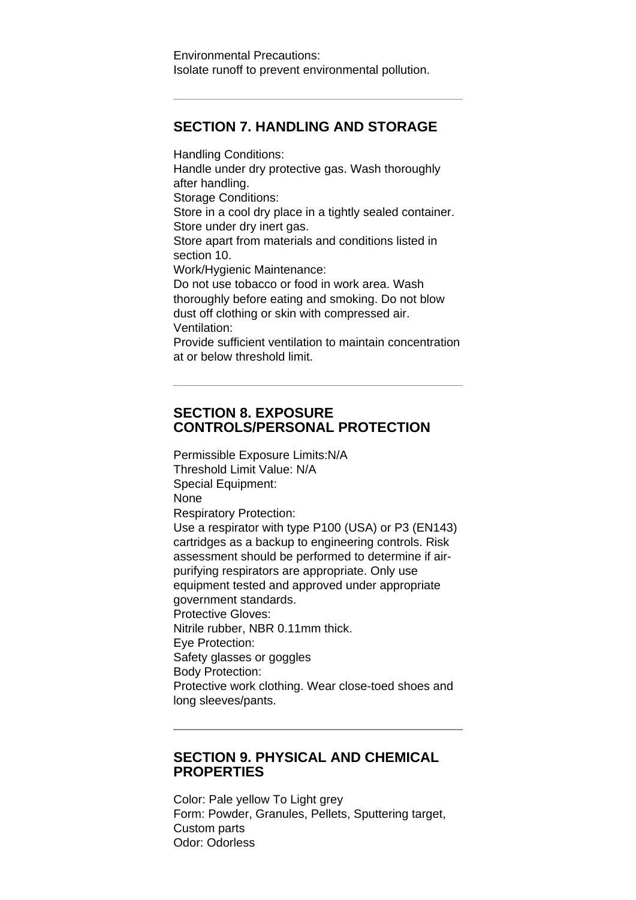#### **SECTION 7. HANDLING AND STORAGE**

Handling Conditions: Handle under dry protective gas. Wash thoroughly after handling. Storage Conditions: Store in a cool dry place in a tightly sealed container. Store under dry inert gas. Store apart from materials and conditions listed in section 10. Work/Hygienic Maintenance: Do not use tobacco or food in work area. Wash thoroughly before eating and smoking. Do not blow dust off clothing or skin with compressed air. Ventilation: Provide sufficient ventilation to maintain concentration at or below threshold limit.

#### **SECTION 8. EXPOSURE CONTROLS/PERSONAL PROTECTION**

Permissible Exposure Limits:N/A Threshold Limit Value: N/A Special Equipment: None Respiratory Protection: Use a respirator with type P100 (USA) or P3 (EN143) cartridges as a backup to engineering controls. Risk assessment should be performed to determine if airpurifying respirators are appropriate. Only use equipment tested and approved under appropriate government standards. Protective Gloves: Nitrile rubber, NBR 0.11mm thick. Eye Protection: Safety glasses or goggles Body Protection: Protective work clothing. Wear close-toed shoes and long sleeves/pants.

#### **SECTION 9. PHYSICAL AND CHEMICAL PROPERTIES**

Color: Pale yellow To Light grey Form: Powder, Granules, Pellets, Sputtering target, Custom parts Odor: Odorless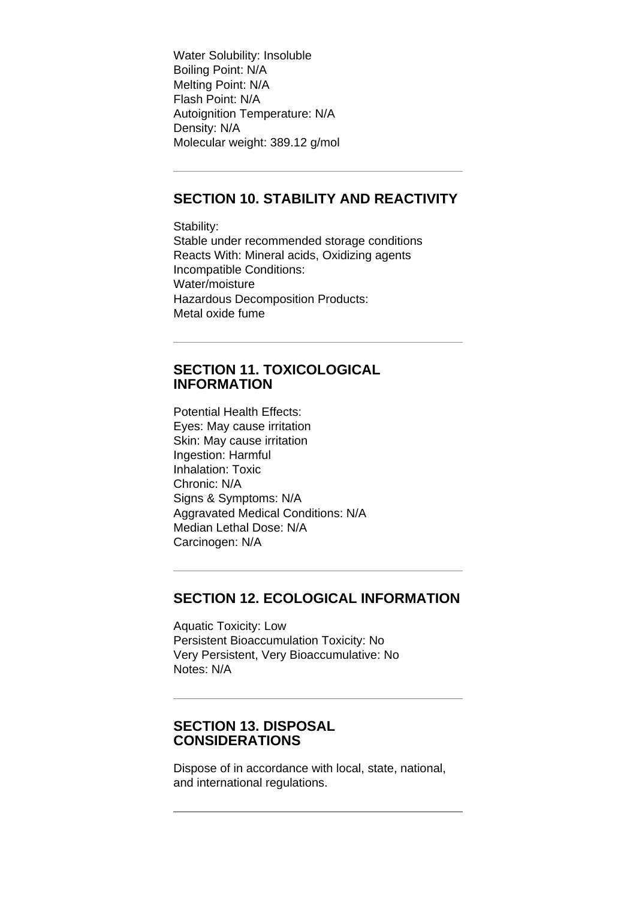Water Solubility: Insoluble Boiling Point: N/A Melting Point: N/A Flash Point: N/A Autoignition Temperature: N/A Density: N/A Molecular weight: 389.12 g/mol

## **SECTION 10. STABILITY AND REACTIVITY**

Stability: Stable under recommended storage conditions Reacts With: Mineral acids, Oxidizing agents Incompatible Conditions: Water/moisture Hazardous Decomposition Products: Metal oxide fume

#### **SECTION 11. TOXICOLOGICAL INFORMATION**

Potential Health Effects: Eyes: May cause irritation Skin: May cause irritation Ingestion: Harmful Inhalation: Toxic Chronic: N/A Signs & Symptoms: N/A Aggravated Medical Conditions: N/A Median Lethal Dose: N/A Carcinogen: N/A

## **SECTION 12. ECOLOGICAL INFORMATION**

Aquatic Toxicity: Low Persistent Bioaccumulation Toxicity: No Very Persistent, Very Bioaccumulative: No Notes: N/A

#### **SECTION 13. DISPOSAL CONSIDERATIONS**

Dispose of in accordance with local, state, national, and international regulations.